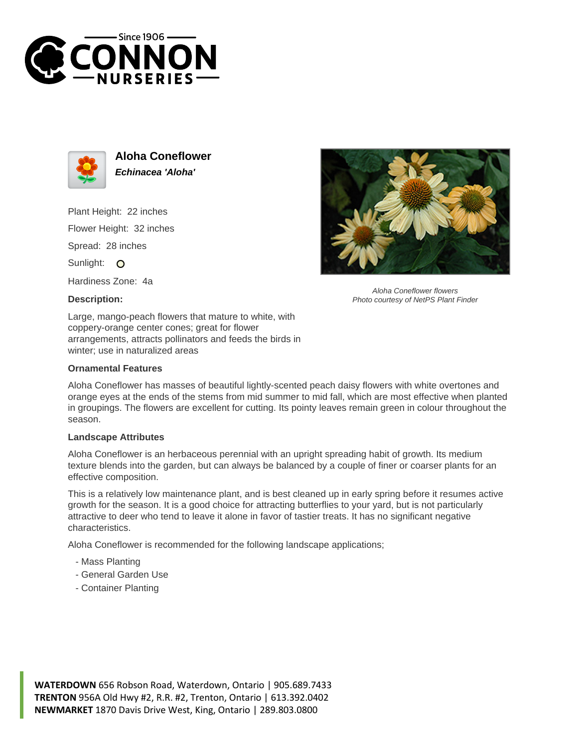



**Aloha Coneflower Echinacea 'Aloha'**

Plant Height: 22 inches Flower Height: 32 inches Spread: 28 inches Sunlight: O

Hardiness Zone: 4a

## **Description:**



## **Ornamental Features**

Aloha Coneflower flowers Photo courtesy of NetPS Plant Finder

Aloha Coneflower has masses of beautiful lightly-scented peach daisy flowers with white overtones and orange eyes at the ends of the stems from mid summer to mid fall, which are most effective when planted in groupings. The flowers are excellent for cutting. Its pointy leaves remain green in colour throughout the season.

## **Landscape Attributes**

Aloha Coneflower is an herbaceous perennial with an upright spreading habit of growth. Its medium texture blends into the garden, but can always be balanced by a couple of finer or coarser plants for an effective composition.

This is a relatively low maintenance plant, and is best cleaned up in early spring before it resumes active growth for the season. It is a good choice for attracting butterflies to your yard, but is not particularly attractive to deer who tend to leave it alone in favor of tastier treats. It has no significant negative characteristics.

Aloha Coneflower is recommended for the following landscape applications;

- Mass Planting
- General Garden Use
- Container Planting

**WATERDOWN** 656 Robson Road, Waterdown, Ontario | 905.689.7433 **TRENTON** 956A Old Hwy #2, R.R. #2, Trenton, Ontario | 613.392.0402 **NEWMARKET** 1870 Davis Drive West, King, Ontario | 289.803.0800